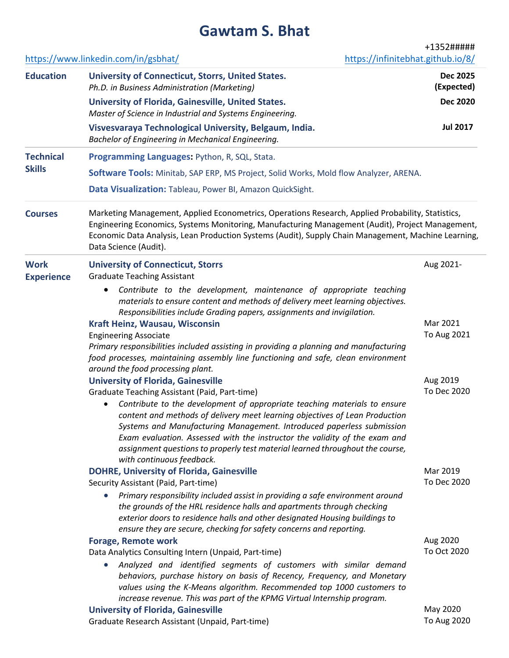# **Gawtam S. Bhat**

https://www.linkedin.com/in/gsbhat/ +1352##### https://infinitebhat.github.io/8/ **Education University of Connecticut, Storrs, United States.** *Ph.D. in Business Administration (Marketing)* **Dec 2025 (Expected) University of Florida, Gainesville, United States.** *Master of Science in Industrial and Systems Engineering.* **Dec 2020 Visvesvaraya Technological University, Belgaum, India.** *Bachelor of Engineering in Mechanical Engineering.* **Jul 2017 Technical Skills Programming Languages:** Python, R, SQL, Stata. **Software Tools:** Minitab, SAP ERP, MS Project, Solid Works, Mold flow Analyzer, ARENA. **Data Visualization:** Tableau, Power BI, Amazon QuickSight. **Courses** Marketing Management, Applied Econometrics, Operations Research, Applied Probability, Statistics, Engineering Economics, Systems Monitoring, Manufacturing Management (Audit), Project Management, Economic Data Analysis, Lean Production Systems (Audit), Supply Chain Management, Machine Learning, Data Science (Audit). **Work Experience University of Connecticut, Storrs** Graduate Teaching Assistant Aug 2021- • *Contribute to the development, maintenance of appropriate teaching materials to ensure content and methods of delivery meet learning objectives. Responsibilities include Grading papers, assignments and invigilation.* **Kraft Heinz, Wausau, Wisconsin** Engineering Associate Mar 2021 To Aug 2021 *Primary responsibilities included assisting in providing a planning and manufacturing food processes, maintaining assembly line functioning and safe, clean environment around the food processing plant.* **University of Florida, Gainesville** Graduate Teaching Assistant (Paid, Part-time) Aug 2019 To Dec 2020 • *Contribute to the development of appropriate teaching materials to ensure content and methods of delivery meet learning objectives of Lean Production Systems and Manufacturing Management. Introduced paperless submission Exam evaluation. Assessed with the instructor the validity of the exam and assignment questions to properly test material learned throughout the course, with continuous feedback.* **DOHRE, University of Florida, Gainesville** Security Assistant (Paid, Part-time) Mar 2019 To Dec 2020 • *Primary responsibility included assist in providing a safe environment around the grounds of the HRL residence halls and apartments through checking exterior doors to residence halls and other designated Housing buildings to ensure they are secure, checking for safety concerns and reporting.* **Forage, Remote work** Data Analytics Consulting Intern (Unpaid, Part-time) Aug 2020 To Oct 2020 • *Analyzed and identified segments of customers with similar demand behaviors, purchase history on basis of Recency, Frequency, and Monetary values using the K-Means algorithm. Recommended top 1000 customers to increase revenue. This was part of the KPMG Virtual Internship program.* **University of Florida, Gainesville** Graduate Research Assistant (Unpaid, Part-time) May 2020 To Aug 2020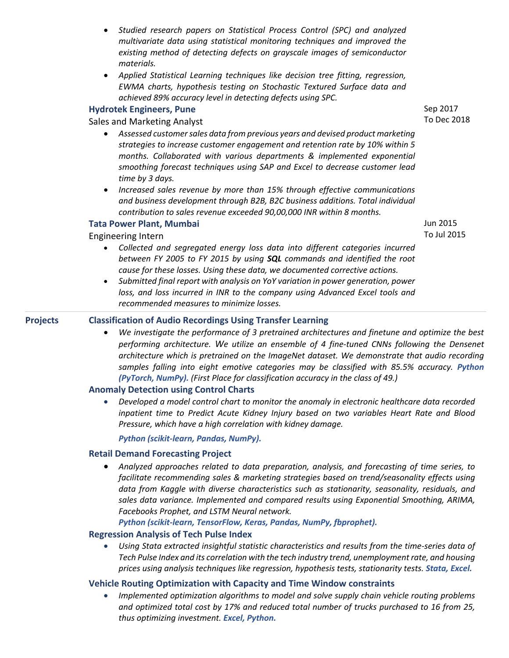- *Studied research papers on Statistical Process Control (SPC) and analyzed multivariate data using statistical monitoring techniques and improved the existing method of detecting defects on grayscale images of semiconductor materials.*
- *Applied Statistical Learning techniques like decision tree fitting, regression, EWMA charts, hypothesis testing on Stochastic Textured Surface data and achieved 89% accuracy level in detecting defects using SPC.*

# **Hydrotek Engineers, Pune**

Sales and Marketing Analyst

- *Assessed customer sales data from previous years and devised product marketing strategies to increase customer engagement and retention rate by 10% within 5 months. Collaborated with various departments & implemented exponential smoothing forecast techniques using SAP and Excel to decrease customer lead time by 3 days.*
- *Increased sales revenue by more than 15% through effective communications and business development through B2B, B2C business additions. Total individual contribution to sales revenue exceeded 90,00,000 INR within 8 months.*

### **Tata Power Plant, Mumbai**

#### Engineering Intern

- *Collected and segregated energy loss data into different categories incurred between FY 2005 to FY 2015 by using SQL commands and identified the root cause for these losses. Using these data, we documented corrective actions.*
- *Submitted final report with analysis on YoY variation in power generation, power*  loss, and loss incurred in INR to the company using Advanced Excel tools and *recommended measures to minimize losses.*

#### **Projects Classification of Audio Recordings Using Transfer Learning**

• *We investigate the performance of 3 pretrained architectures and finetune and optimize the best performing architecture. We utilize an ensemble of 4 fine-tuned CNNs following the Densenet architecture which is pretrained on the ImageNet dataset. We demonstrate that audio recording*  samples falling into eight emotive categories may be classified with 85.5% accuracy. Python *(PyTorch, NumPy). (First Place for classification accuracy in the class of 49.)*

# **Anomaly Detection using Control Charts**

• *Developed a model control chart to monitor the anomaly in electronic healthcare data recorded inpatient time to Predict Acute Kidney Injury based on two variables Heart Rate and Blood Pressure, which have a high correlation with kidney damage.* 

*Python (scikit-learn, Pandas, NumPy).*

#### **Retail Demand Forecasting Project**

• *Analyzed approaches related to data preparation, analysis, and forecasting of time series, to facilitate recommending sales & marketing strategies based on trend/seasonality effects using data from Kaggle with diverse characteristics such as stationarity, seasonality, residuals, and sales data variance. Implemented and compared results using Exponential Smoothing, ARIMA, Facebooks Prophet, and LSTM Neural network.* 

*Python (scikit-learn, TensorFlow, Keras, Pandas, NumPy, fbprophet).*

#### **Regression Analysis of Tech Pulse Index**

• *Using Stata extracted insightful statistic characteristics and results from the time-series data of Tech Pulse Index and its correlation with the tech industry trend, unemployment rate, and housing prices using analysis techniques like regression, hypothesis tests, stationarity tests. Stata, Excel.*

# **Vehicle Routing Optimization with Capacity and Time Window constraints**

• *Implemented optimization algorithms to model and solve supply chain vehicle routing problems and optimized total cost by 17% and reduced total number of trucks purchased to 16 from 25, thus optimizing investment. Excel, Python.*

Sep 2017 To Dec 2018

Jun 2015 To Jul 2015